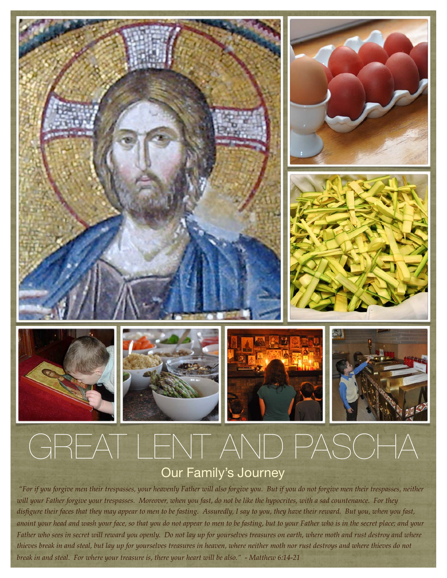

## Our Family's Journey

 *"For if you forgive men their trespasses, your heavenly Father will also forgive you. But if you do not forgive men their trespasses, neither will your Father forgive your trespasses. Moreover, when you fast, do not be like the hypocrites, with a sad countenance. For they disfigure their faces that they may appear to men to be fasting. Assuredly, I say to you, they have their reward. But you, when you fast, anoint your head and wash your face, so that you do not appear to men to be fasting, but to your Father who is in the secret place; and your Father who sees in secret will reward you openly. Do not lay up for yourselves treasures on earth, where moth and rust destroy and where thieves break in and steal, but lay up for yourselves treasures in heaven, where neither moth nor rust destroys and where thieves do not break in and steal. For where your treasure is, there your heart will be also." - Matthew 6:14-21*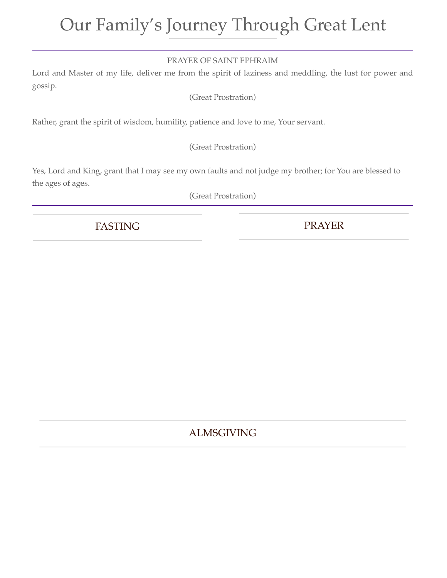# Our Family's Journey Through Great Lent

#### PRAYER OF SAINT EPHRAIM

Lord and Master of my life, deliver me from the spirit of laziness and meddling, the lust for power and gossip.

(Great Prostration)

Rather, grant the spirit of wisdom, humility, patience and love to me, Your servant.

(Great Prostration)

Yes, Lord and King, grant that I may see my own faults and not judge my brother; for You are blessed to the ages of ages.

(Great Prostration)

FASTING PRAYER

## ALMSGIVING